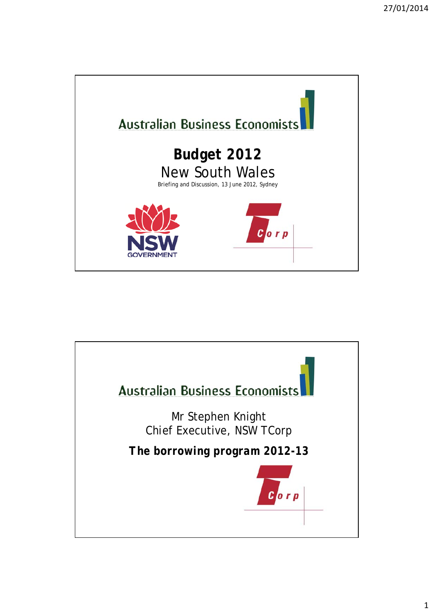

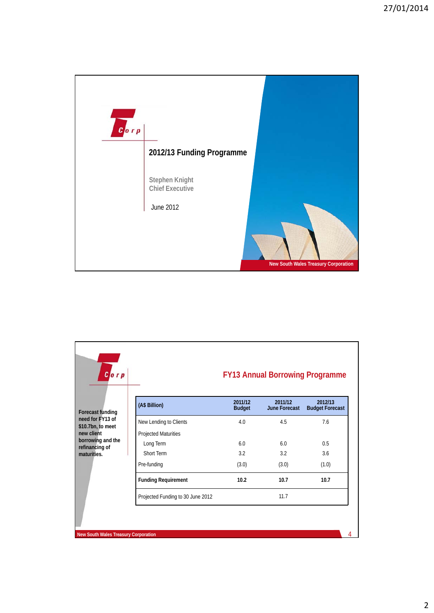

| $C$ orp                                                                                                               |                                   | <b>FY13 Annual Borrowing Programme</b> |                                 |                                   |
|-----------------------------------------------------------------------------------------------------------------------|-----------------------------------|----------------------------------------|---------------------------------|-----------------------------------|
| <b>Forecast funding</b><br>need for FY13 of<br>\$10.7bn, to meet<br>new client<br>borrowing and the<br>refinancing of | (A\$ Billion)                     | 2011/12<br><b>Budget</b>               | 2011/12<br><b>June Forecast</b> | 2012/13<br><b>Budget Forecast</b> |
|                                                                                                                       | New Lending to Clients            | 4.0                                    | 4.5                             | 7.6                               |
|                                                                                                                       | Projected Maturities              |                                        |                                 |                                   |
|                                                                                                                       | Long Term                         | 6.0                                    | 6 <sub>0</sub>                  | 0.5                               |
| maturities.                                                                                                           | Short Term                        | 3.2                                    | 3.2                             | 3.6                               |
|                                                                                                                       | Pre-funding                       | (3.0)                                  | (3.0)                           | (1.0)                             |
|                                                                                                                       | <b>Funding Requirement</b>        | 10.2                                   | 10.7                            | 10.7                              |
|                                                                                                                       | Projected Funding to 30 June 2012 |                                        | 11.7                            |                                   |

**New South Wales Treasury Corporation** 4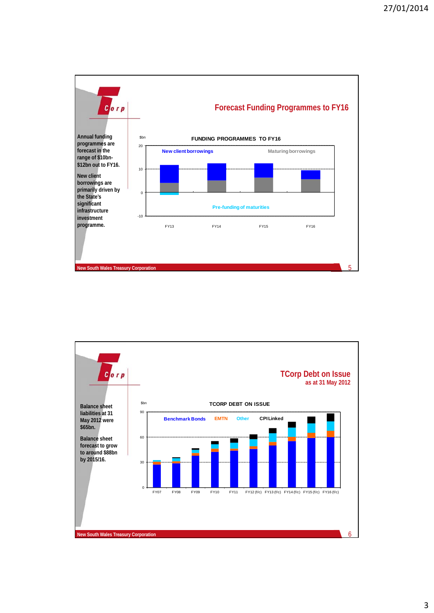

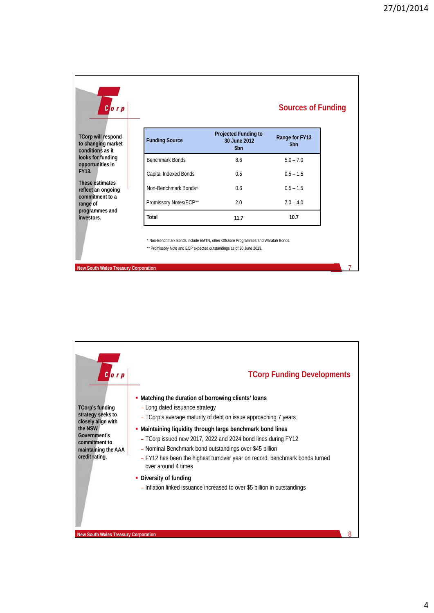7

| Gorp                                                                 |                                                                      |                                                                                  | <b>Sources of Funding</b> |
|----------------------------------------------------------------------|----------------------------------------------------------------------|----------------------------------------------------------------------------------|---------------------------|
| <b>TCorp will respond</b><br>to changing market<br>conditions as it  | <b>Funding Source</b>                                                | <b>Projected Funding to</b><br>30 June 2012<br>\$bn                              | Range for FY13<br>\$bn    |
| looks for funding<br>opportunities in                                | <b>Benchmark Bonds</b>                                               | 8.6                                                                              | $5.0 - 7.0$               |
| <b>FY13.</b>                                                         | Capital Indexed Bonds                                                | 0.5                                                                              | $0.5 - 1.5$               |
| These estimates<br>reflect an ongoing<br>commitment to a<br>range of | Non-Benchmark Bonds*                                                 | 0.6                                                                              | $0.5 - 1.5$               |
|                                                                      | Promissory Notes/ECP**                                               | 2.0                                                                              | $2.0 - 4.0$               |
|                                                                      | Total                                                                | 11.7                                                                             | 10.7                      |
| programmes and<br>investors.                                         | ** Promissory Note and ECP expected outstandings as of 30 June 2013. | * Non-Benchmark Bonds include EMTN, other Offshore Programmes and Waratah Bonds. |                           |

**New South Wales Treasury Corporation**

 $c_{\text{orp}}$ **TCorp Funding Developments Matching the duration of borrowing clients' loans TCorp's funding**  – Long dated issuance strategy **strategy seeks to**  – TCorp's average maturity of debt on issue approaching 7 years **closely align with Maintaining liquidity through large benchmark bond lines the NSW Government's**  – TCorp issued new 2017, 2022 and 2024 bond lines during FY12 **commitment to**  – Nominal Benchmark bond outstandings over \$45 billion **maintaining the AAA credit rating.**– FY12 has been the highest turnover year on record; benchmark bonds turned over around 4 times **-** Diversity of funding – Inflation linked issuance increased to over \$5 billion in outstandings 8 **New South Wales Treasury Corporation**

## 4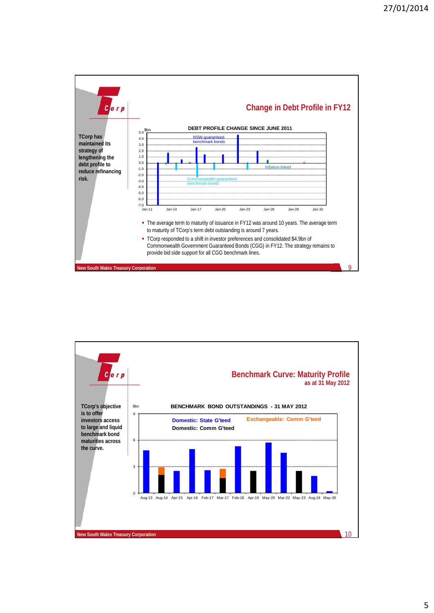

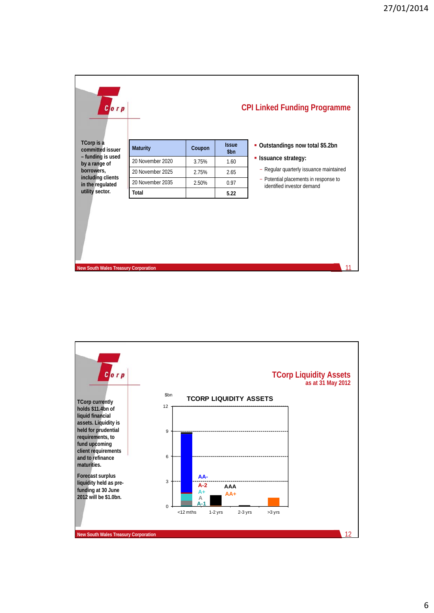| $C$ orp                               |                  |        |                      | <b>CPI Linked Funding Programme</b>                                 |  |
|---------------------------------------|------------------|--------|----------------------|---------------------------------------------------------------------|--|
| TCorp is a<br>committed issuer        | <b>Maturity</b>  | Coupon | <b>Issue</b><br>\$bn | • Outstandings now total \$5.2bn                                    |  |
| - funding is used<br>by a range of    | 20 November 2020 | 3.75%  | 1.60                 | • Issuance strategy:                                                |  |
| borrowers,                            | 20 November 2025 | 2.75%  | 2.65                 | - Regular quarterly issuance maintained                             |  |
| including clients<br>in the regulated | 20 November 2035 | 2.50%  | 0.97                 | - Potential placements in response to<br>identified investor demand |  |
| utility sector.                       | <b>Total</b>     |        | 5.22                 |                                                                     |  |
|                                       |                  |        |                      |                                                                     |  |